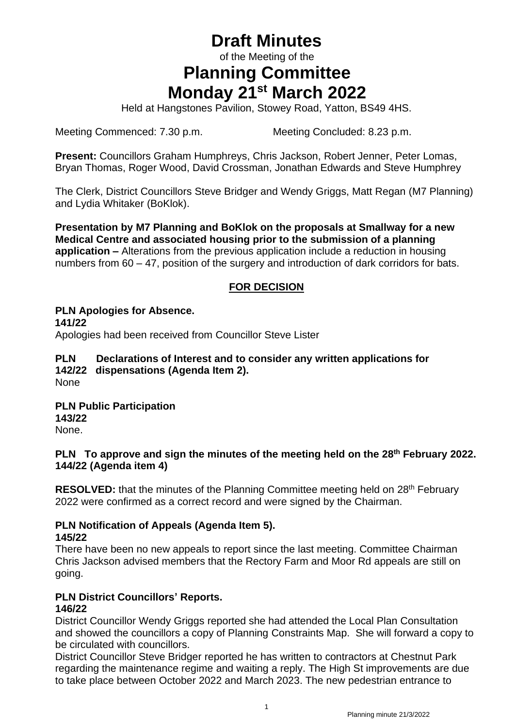# **Draft Minutes**

of the Meeting of the

# **Planning Committee Monday 21 st March 2022**

Held at Hangstones Pavilion, Stowey Road, Yatton, BS49 4HS.

Meeting Commenced: 7.30 p.m. Meeting Concluded: 8.23 p.m.

**Present:** Councillors Graham Humphreys, Chris Jackson, Robert Jenner, Peter Lomas, Bryan Thomas, Roger Wood, David Crossman, Jonathan Edwards and Steve Humphrey

The Clerk, District Councillors Steve Bridger and Wendy Griggs, Matt Regan (M7 Planning) and Lydia Whitaker (BoKlok).

**Presentation by M7 Planning and BoKlok on the proposals at Smallway for a new Medical Centre and associated housing prior to the submission of a planning application –** Alterations from the previous application include a reduction in housing numbers from 60 – 47, position of the surgery and introduction of dark corridors for bats.

## **FOR DECISION**

**PLN Apologies for Absence. 141/22** Apologies had been received from Councillor Steve Lister

#### **PLN Declarations of Interest and to consider any written applications for 142/22 dispensations (Agenda Item 2).** None

**PLN Public Participation 143/22** None.

## **PLN To approve and sign the minutes of the meeting held on the 28th February 2022. 144/22 (Agenda item 4)**

**RESOLVED:** that the minutes of the Planning Committee meeting held on 28<sup>th</sup> February 2022 were confirmed as a correct record and were signed by the Chairman.

## **PLN Notification of Appeals (Agenda Item 5).**

## **145/22**

There have been no new appeals to report since the last meeting. Committee Chairman Chris Jackson advised members that the Rectory Farm and Moor Rd appeals are still on going.

#### **PLN District Councillors' Reports. 146/22**

District Councillor Wendy Griggs reported she had attended the Local Plan Consultation and showed the councillors a copy of Planning Constraints Map. She will forward a copy to be circulated with councillors.

District Councillor Steve Bridger reported he has written to contractors at Chestnut Park regarding the maintenance regime and waiting a reply. The High St improvements are due to take place between October 2022 and March 2023. The new pedestrian entrance to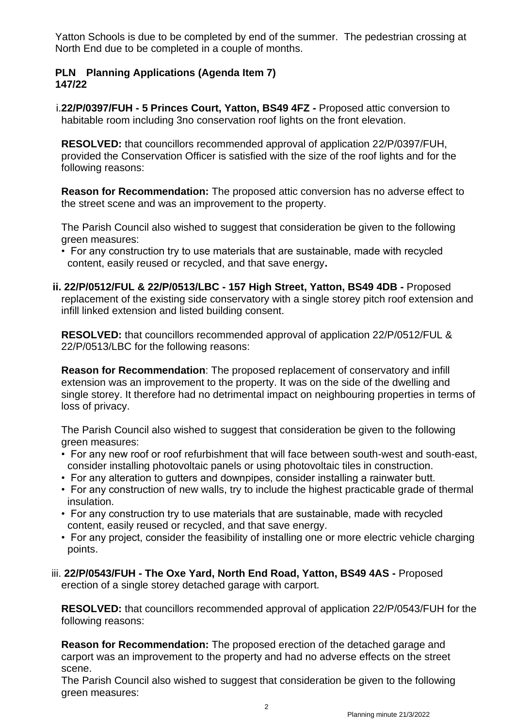Yatton Schools is due to be completed by end of the summer. The pedestrian crossing at North End due to be completed in a couple of months.

## **PLN Planning Applications (Agenda Item 7) 147/22**

i.**22/P/0397/FUH - 5 Princes Court, Yatton, BS49 4FZ -** Proposed attic conversion to habitable room including 3no conservation roof lights on the front elevation.

**RESOLVED:** that councillors recommended approval of application 22/P/0397/FUH, provided the Conservation Officer is satisfied with the size of the roof lights and for the following reasons:

**Reason for Recommendation:** The proposed attic conversion has no adverse effect to the street scene and was an improvement to the property.

The Parish Council also wished to suggest that consideration be given to the following green measures:

- For any construction try to use materials that are sustainable, made with recycled content, easily reused or recycled, and that save energy**.**
- **ii. 22/P/0512/FUL & 22/P/0513/LBC - 157 High Street, Yatton, BS49 4DB -** Proposed replacement of the existing side conservatory with a single storey pitch roof extension and infill linked extension and listed building consent.

**RESOLVED:** that councillors recommended approval of application 22/P/0512/FUL & 22/P/0513/LBC for the following reasons:

**Reason for Recommendation**: The proposed replacement of conservatory and infill extension was an improvement to the property. It was on the side of the dwelling and single storey. It therefore had no detrimental impact on neighbouring properties in terms of loss of privacy.

The Parish Council also wished to suggest that consideration be given to the following green measures:

- For any new roof or roof refurbishment that will face between south-west and south-east, consider installing photovoltaic panels or using photovoltaic tiles in construction.
- For any alteration to gutters and downpipes, consider installing a rainwater butt.
- For any construction of new walls, try to include the highest practicable grade of thermal insulation.
- For any construction try to use materials that are sustainable, made with recycled content, easily reused or recycled, and that save energy.
- For any project, consider the feasibility of installing one or more electric vehicle charging points.
- iii. **22/P/0543/FUH - The Oxe Yard, North End Road, Yatton, BS49 4AS -** Proposed erection of a single storey detached garage with carport.

**RESOLVED:** that councillors recommended approval of application 22/P/0543/FUH for the following reasons:

**Reason for Recommendation:** The proposed erection of the detached garage and carport was an improvement to the property and had no adverse effects on the street scene.

The Parish Council also wished to suggest that consideration be given to the following green measures: